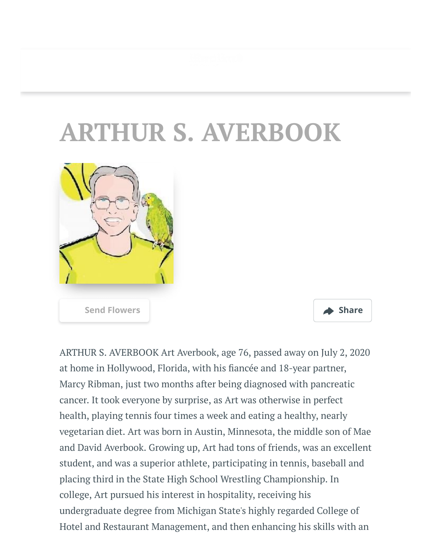## **ARTHUR S. AVERBOOK**





ARTHUR S. AVERBOOK Art Averbook, age 76, passed away on July 2, 2020 at home in Hollywood, Florida, with his fiancée and 18-year partner, Marcy Ribman, just two months after being diagnosed with pancreatic cancer. It took everyone by surprise, as Art was otherwise in perfect health, playing tennis four times a week and eating a healthy, nearly vegetarian diet. Art was born in Austin, Minnesota, the middle son of Mae and David Averbook. Growing up, Art had tons of friends, was an excellent student, and was a superior athlete, participating in tennis, baseball and placing third in the State High School Wrestling Championship. In college, Art pursued his interest in hospitality, receiving his undergraduate degree from Michigan State's highly regarded College of Hotel and Restaurant Management, and then enhancing his skills with an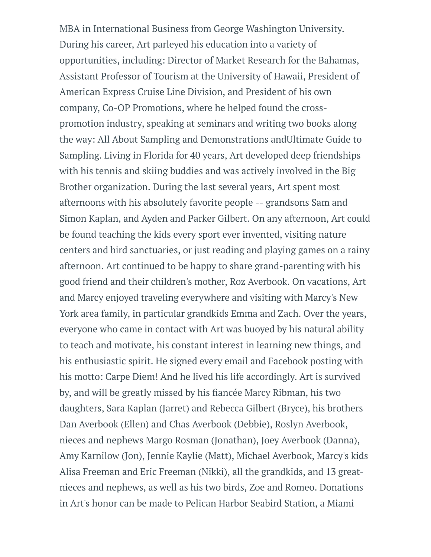MBA in International Business from George Washington University. During his career, Art parleyed his education into a variety of opportunities, including: Director of Market Research for the Bahamas, Assistant Professor of Tourism at the University of Hawaii, President of American Express Cruise Line Division, and President of his own company, Co-OP Promotions, where he helped found the crosspromotion industry, speaking at seminars and writing two books along the way: All About Sampling and Demonstrations andUltimate Guide to Sampling. Living in Florida for 40 years, Art developed deep friendships with his tennis and skiing buddies and was actively involved in the Big Brother organization. During the last several years, Art spent most afternoons with his absolutely favorite people -- grandsons Sam and Simon Kaplan, and Ayden and Parker Gilbert. On any afternoon, Art could be found teaching the kids every sport ever invented, visiting nature centers and bird sanctuaries, or just reading and playing games on a rainy afternoon. Art continued to be happy to share grand-parenting with his good friend and their children's mother, Roz Averbook. On vacations, Art and Marcy enjoyed traveling everywhere and visiting with Marcy's New York area family, in particular grandkids Emma and Zach. Over the years, everyone who came in contact with Art was buoyed by his natural ability to teach and motivate, his constant interest in learning new things, and his enthusiastic spirit. He signed every email and Facebook posting with his motto: Carpe Diem! And he lived his life accordingly. Art is survived by, and will be greatly missed by his fiancée Marcy Ribman, his two daughters, Sara Kaplan (Jarret) and Rebecca Gilbert (Bryce), his brothers Dan Averbook (Ellen) and Chas Averbook (Debbie), Roslyn Averbook, nieces and nephews Margo Rosman (Jonathan), Joey Averbook (Danna), Amy Karnilow (Jon), Jennie Kaylie (Matt), Michael Averbook, Marcy's kids Alisa Freeman and Eric Freeman (Nikki), all the grandkids, and 13 greatnieces and nephews, as well as his two birds, Zoe and Romeo. Donations in Art's honor can be made to Pelican Harbor Seabird Station, a Miami